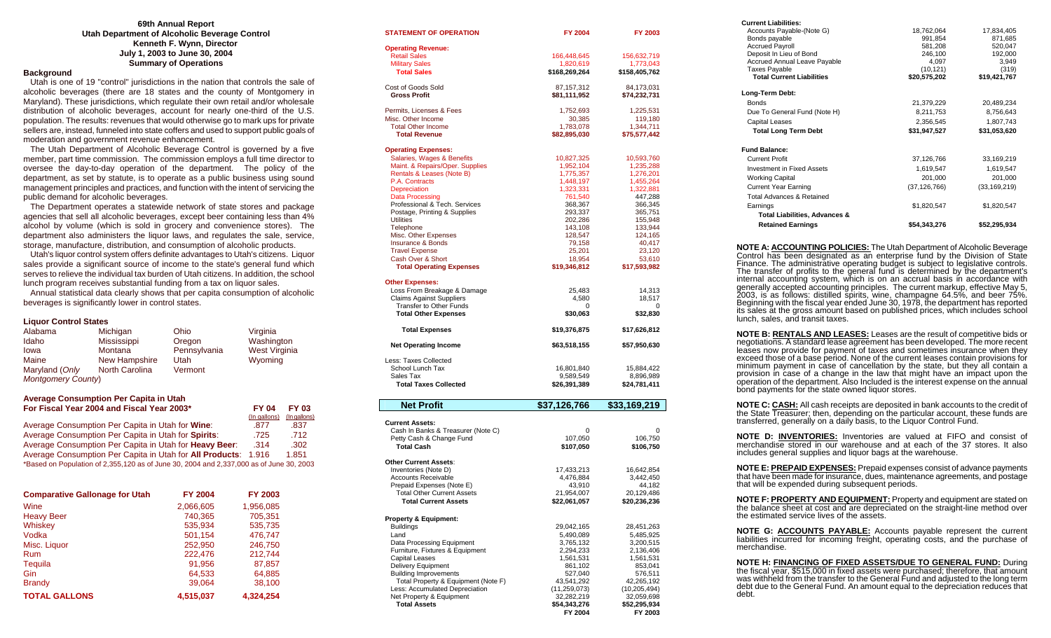## **69th Annual Report Utah Department of Alcoholic Beverage Control Kenneth F. Wynn, Director July 1, 2003 to June 30, 2004 Summary of Operations**

# **Background**

 Utah is one of 19 "control" jurisdictions in the nation that controls the sale of alcoholic beverages (there are 18 states and the county of Montgomery in Maryland). These jurisdictions, which regulate their own retail and/or wholesale distribution of alcoholic beverages, account for nearly one-third of the U.S. population. The results: revenues that would otherwise go to mark ups for private sellers are, instead, funneled into state coffers and used to support public goals of moderation and government revenue enhancement.

 The Utah Department of Alcoholic Beverage Control is governed by a five member, part time commission. The commission employs a full time director to oversee the day-to-day operation of the department. The policy of the department, as set by statute, is to operate as a public business using sound management principles and practices, and function with the intent of servicing the public demand for alcoholic beverages.

 The Department operates a statewide network of state stores and package agencies that sell all alcoholic beverages, except beer containing less than 4% alcohol by volume (which is sold in grocery and convenience stores). The department also administers the liquor laws, and regulates the sale, service, storage, manufacture, distribution, and consumption of alcoholic products.

 Utah's liquor control system offers definite advantages to Utah's citizens. Liquor sales provide a significant source of income to the state's general fund which serves to relieve the individual tax burden of Utah citizens. In addition, the school lunch program receives substantial funding from a tax on liquor sales.

 Annual statistical data clearly shows that per capita consumption of alcoholic beverages is significantly lower in control states.

### **Liquor Control States**

| Alabama                   | Michigan       | Ohio         | Virginia      |
|---------------------------|----------------|--------------|---------------|
| Idaho                     | Mississippi    | Oregon       | Washington    |
| Iowa                      | Montana        | Pennsylvania | West Virginia |
| Maine                     | New Hampshire  | Utah         | Wyoming       |
| Maryland (Only            | North Carolina | Vermont      |               |
| <b>Montgomery County)</b> |                |              |               |

### **Average Consumption Per Capita in Utah For Fiscal Year 2004 and Fiscal Year 2003\* FY 04 FY 03**

|                                                                                         | (In gallons) | (In gallons) |
|-----------------------------------------------------------------------------------------|--------------|--------------|
| Average Consumption Per Capita in Utah for Wine:                                        | .877         | .837         |
| Average Consumption Per Capita in Utah for Spirits:                                     | .725         | .712         |
| Average Consumption Per Capita in Utah for <b>Heavy Beer:</b>                           | .314         | .302         |
| Average Consumption Per Capita in Utah for <b>All Products</b> : 1.916                  |              | 1.851        |
| *Based on Population of 2,355,120 as of June 30, 2004 and 2,337,000 as of June 30, 2003 |              |              |

| <b>Comparative Gallonage for Utah</b> | <b>FY 2004</b> | <b>FY 2003</b> |
|---------------------------------------|----------------|----------------|
| Wine                                  | 2,066,605      | 1,956,085      |
| <b>Heavy Beer</b>                     | 740,365        | 705,351        |
| Whiskey                               | 535.934        | 535,735        |
| Vodka                                 | 501,154        | 476,747        |
| Misc. Liquor                          | 252,950        | 246,750        |
| <b>Rum</b>                            | 222,476        | 212,744        |
| Tequila                               | 91,956         | 87,857         |
| Gin                                   | 64,533         | 64,885         |
| <b>Brandy</b>                         | 39.064         | 38,100         |
| <b>TOTAL GALLONS</b>                  | 4,515,037      | 4.324.254      |

| <b>STATEMENT OF OPERATION</b>                          | FY 2004                | FY 2003                |
|--------------------------------------------------------|------------------------|------------------------|
| <b>Operating Revenue:</b>                              |                        |                        |
| <b>Retail Sales</b>                                    | 166,448,645            | 156,632,719            |
| <b>Military Sales</b>                                  | 1,820,619              | 1,773,043              |
| <b>Total Sales</b>                                     | \$168,269,264          | \$158,405,762          |
| Cost of Goods Sold                                     | 87,157,312             | 84,173,031             |
| <b>Gross Profit</b>                                    | \$81,111,952           | \$74,232,731           |
| Permits, Licenses & Fees                               | 1,752,693              | 1,225,531              |
| Misc. Other Income                                     | 30,385                 | 119,180                |
| <b>Total Other Income</b>                              | 1,783,078              | 1,344,711              |
| <b>Total Revenue</b>                                   | \$82,895,030           | \$75,577,442           |
| <b>Operating Expenses:</b>                             |                        |                        |
| Salaries, Wages & Benefits                             | 10,827,325             | 10,593,760             |
| Maint. & Repairs/Oper. Supplies                        | 1,952,104              | 1,235,288              |
| Rentals & Leases (Note B)                              | 1,775,357              | 1,276,201              |
| P.A. Contracts                                         | 1,448,197<br>1,323,331 | 1,455,264              |
| Depreciation<br><b>Data Processing</b>                 | 761,540                | 1,322,881<br>447,288   |
| Professional & Tech. Services                          | 368,367                | 366,345                |
| Postage, Printing & Supplies                           | 293,337                | 365,751                |
| Utilities                                              | 202,286                | 155,948                |
| Telephone                                              | 143,108                | 133,944                |
| Misc. Other Expenses                                   | 128,547                | 124,165                |
| Insurance & Bonds                                      | 79,158                 | 40,417                 |
| <b>Travel Expense</b>                                  | 25,201                 | 23,120                 |
| Cash Over & Short                                      | 18,954                 | 53,610                 |
| <b>Total Operating Expenses</b>                        | \$19,346,812           | \$17,593,982           |
| <b>Other Expenses:</b>                                 |                        |                        |
| Loss From Breakage & Damage                            | 25,483                 | 14,313                 |
| <b>Claims Against Suppliers</b>                        | 4,580                  | 18,517                 |
| Transfer to Other Funds<br><b>Total Other Expenses</b> | 0<br>\$30,063          | 0<br>\$32,830          |
|                                                        |                        |                        |
| <b>Total Expenses</b>                                  | \$19,376,875           | \$17,626,812           |
| <b>Net Operating Income</b>                            | \$63,518,155           | \$57,950,630           |
| Less: Taxes Collected                                  |                        |                        |
| School Lunch Tax                                       | 16,801,840             | 15,884,422             |
| Sales Tax                                              | 9,589,549              | 8,896,989              |
| <b>Total Taxes Collected</b>                           | \$26,391,389           | \$24,781,411           |
| <b>Net Profit</b>                                      | \$37,126,766           | \$33,169,219           |
|                                                        |                        |                        |
| <b>Current Assets:</b>                                 |                        |                        |
| Cash In Banks & Treasurer (Note C)                     | $\Omega$               | O                      |
| Petty Cash & Change Fund                               | 107,050                | 106,750                |
| <b>Total Cash</b>                                      | \$107,050              | \$106,750              |
| <b>Other Current Assets:</b>                           |                        |                        |
| Inventories (Note D)                                   | 17,433,213             | 16,642,854             |
| <b>Accounts Receivable</b>                             | 4,476,884              | 3,442,450              |
| Prepaid Expenses (Note E)                              | 43,910                 | 44,182                 |
| <b>Total Other Current Assets</b>                      | 21,954,007             | 20,129,486             |
| <b>Total Current Assets</b>                            | \$22,061,057           | \$20,236,236           |
| <b>Property &amp; Equipment:</b>                       |                        |                        |
| <b>Buildings</b>                                       | 29,042,165             | 28,451,263             |
| Land                                                   | 5,490,089              | 5,485,925              |
| Data Processing Equipment                              | 3,765,132              | 3,200,515              |
| Furniture, Fixtures & Equipment<br>Capital Leases      | 2,294,233<br>1.561.531 | 2,136,406<br>1.561.531 |

Capital Leases 1,561,531 1,561,531 1,561,531 1,561,531 1,561,531 1,561,531 1,561,531 1,561,531 1,561,531 1,561,531 1,561,531 1,561,531 1,561,531 1,561,531 1,561,531 1,561,531 1,561,531 1,561,531 1,561,531 1,561,531 1,561,5 Delivery Equipment 1953,041<br>
Building Improvements 1961 861,102<br>
S27.040 576.511 Building Improvements 527,040 576,511<br>Total Property & Equipment (Note F) 43,541,292 42,265,192 Total Property & Equipment (Note F)  $43,541,292$   $42,265,192$ <br>
43,541,292  $(10,205,494)$ <br>
43,541,259,073)  $(10,205,494)$ Less: Accumulated Depreciation (11,259,073) (10,205,494)<br>
Net Property & Equipment (2009,698) (32,282,219 (32,059,698) Net Property & Equipment  $\frac{32,282,219}{32,059,698}$ <br>Total Assets 354.343.276 352.295.934

 **FY 2004 FY 2003** 

**Total Assets \$54,343,276**<br>FY 2004

| <b>Current Liabilities:</b>                                                                                                                                                                                                                                                                                                                                                                                                                                                                                                                                                                                                                    |                                                                                  |              |
|------------------------------------------------------------------------------------------------------------------------------------------------------------------------------------------------------------------------------------------------------------------------------------------------------------------------------------------------------------------------------------------------------------------------------------------------------------------------------------------------------------------------------------------------------------------------------------------------------------------------------------------------|----------------------------------------------------------------------------------|--------------|
| Accounts Payable-(Note G)                                                                                                                                                                                                                                                                                                                                                                                                                                                                                                                                                                                                                      |                                                                                  | 17,834,405   |
| Bonds payable                                                                                                                                                                                                                                                                                                                                                                                                                                                                                                                                                                                                                                  |                                                                                  | 871,685      |
| <b>Accrued Payroll</b>                                                                                                                                                                                                                                                                                                                                                                                                                                                                                                                                                                                                                         |                                                                                  | 520,047      |
| Deposit In Lieu of Bond                                                                                                                                                                                                                                                                                                                                                                                                                                                                                                                                                                                                                        |                                                                                  | 192,000      |
| Accrued Annual Leave Payable                                                                                                                                                                                                                                                                                                                                                                                                                                                                                                                                                                                                                   |                                                                                  | 3,949        |
| <b>Taxes Payable</b>                                                                                                                                                                                                                                                                                                                                                                                                                                                                                                                                                                                                                           |                                                                                  | (319)        |
| <b>Total Current Liabilities</b>                                                                                                                                                                                                                                                                                                                                                                                                                                                                                                                                                                                                               | 18,762,064<br>991,854<br>581,208<br>546,100<br>4,097<br>(10,121)<br>\$20,575,202 | \$19,421,767 |
| Long-Term Debt:                                                                                                                                                                                                                                                                                                                                                                                                                                                                                                                                                                                                                                |                                                                                  |              |
| <b>Bonds</b>                                                                                                                                                                                                                                                                                                                                                                                                                                                                                                                                                                                                                                   | 21,379,229                                                                       | 20,489,234   |
| Due To General Fund (Note H)                                                                                                                                                                                                                                                                                                                                                                                                                                                                                                                                                                                                                   | 8,211,753                                                                        | 8,756,643    |
| <b>Capital Leases</b>                                                                                                                                                                                                                                                                                                                                                                                                                                                                                                                                                                                                                          | 2,356,545                                                                        | 1,807,743    |
| <b>Total Long Term Debt</b>                                                                                                                                                                                                                                                                                                                                                                                                                                                                                                                                                                                                                    | \$31,947,527                                                                     | \$31,053,620 |
|                                                                                                                                                                                                                                                                                                                                                                                                                                                                                                                                                                                                                                                |                                                                                  |              |
| <b>Fund Balance:</b>                                                                                                                                                                                                                                                                                                                                                                                                                                                                                                                                                                                                                           |                                                                                  |              |
| <b>Current Profit</b>                                                                                                                                                                                                                                                                                                                                                                                                                                                                                                                                                                                                                          | 37,126,766                                                                       | 33,169,219   |
| Investment in Fixed Assets                                                                                                                                                                                                                                                                                                                                                                                                                                                                                                                                                                                                                     | 1,619,547                                                                        | 1,619,547    |
| <b>Working Capital</b>                                                                                                                                                                                                                                                                                                                                                                                                                                                                                                                                                                                                                         | 201,000                                                                          | 201,000      |
| <b>Current Year Earning</b>                                                                                                                                                                                                                                                                                                                                                                                                                                                                                                                                                                                                                    | $(37,126,766)$ $(33,169,219)$                                                    |              |
| Total Advances & Retained                                                                                                                                                                                                                                                                                                                                                                                                                                                                                                                                                                                                                      |                                                                                  |              |
| Earnings                                                                                                                                                                                                                                                                                                                                                                                                                                                                                                                                                                                                                                       | \$1,820,547                                                                      | \$1,820,547  |
| Total Liabilities, Advances &                                                                                                                                                                                                                                                                                                                                                                                                                                                                                                                                                                                                                  |                                                                                  |              |
| <b>Retained Earnings</b>                                                                                                                                                                                                                                                                                                                                                                                                                                                                                                                                                                                                                       | \$54,343,276                                                                     | \$52,295,934 |
|                                                                                                                                                                                                                                                                                                                                                                                                                                                                                                                                                                                                                                                |                                                                                  |              |
| Finance. The administrative operating budget is subject to legislative controls.<br>The transfer of profits to the general fund is determined by the department's<br>internal accounting system, which is on an accrual basis in acc<br>denerally accepted accounting principles. The current markup, effective May 5, 2003, is as follows: distilled spirits, wine, champagne 64.5%, and beer 75%. Beginning with the fiscal year ended June 30, 1978, the department<br>its sales at the gross amount based on published prices, which includes school<br>lunch, sales, and transit taxes.                                                   |                                                                                  |              |
| <b>NOTE B: <u>RENTALS AND LEASES:</u></b> Leases are the result of competitive bids or<br>negotiations. A standard lease agreement has been developed. The more recent<br>leases now provide for payment of taxes and sometimes insurance when they<br>exceed those of a base period. None of the current leases contain provisions for<br>minimum payment in case of cancellation by the state, but they all contain a<br>provision in case of a change in the law that might have an impact upon the<br>operation of the department. Also Included is the interest expense on the annual<br>bond payments for the state owned liquor stores. |                                                                                  |              |
| NOTE C: CASH: All cash receipts are deposited in bank accounts to the credit of<br>the State Treasurer; then, depending on the particular account, these funds are<br>transferred, generally on a daily basis, to the Liquor Control Fund.                                                                                                                                                                                                                                                                                                                                                                                                     |                                                                                  |              |
| <b>NOTE D: INVENTORIES:</b> Inventories are valued at FIFO and consist of<br>merchandise stored in our warehouse and at each of the 37 stores. It also<br>includes general supplies and liquor bags at the warehouse.                                                                                                                                                                                                                                                                                                                                                                                                                          |                                                                                  |              |
| <b>NOTE E: PREPAID EXPENSES:</b> Prepaid expenses consist of advance payments<br>that have been made for insurance, dues, maintenance agreements, and postage<br>that will be expended during subsequent periods.                                                                                                                                                                                                                                                                                                                                                                                                                              |                                                                                  |              |
| NOTE F: <b>PROPERTY AND EQUIPMENT:</b> Property and equipment are stated on the balance sheet at cost and are depreciated on the straight-line method over<br>the estimated service lives of the assets.                                                                                                                                                                                                                                                                                                                                                                                                                                       |                                                                                  |              |
| NOTE G: <b>ACCOUNTS PAYABLE:</b> Accounts payable represent the current<br>liabilities incurred for incoming freight, operating costs, and the purchase of<br>merchandise.                                                                                                                                                                                                                                                                                                                                                                                                                                                                     |                                                                                  |              |
|                                                                                                                                                                                                                                                                                                                                                                                                                                                                                                                                                                                                                                                |                                                                                  |              |

**NOTE H: FINANCING OF FIXED ASSETS/DUE TO GENERAL FUND:** During the fiscal year, \$515,000 in fixed assets were purchased; therefore, that amount was withheld from the transfer to the General Fund and adjusted to the long t debt.